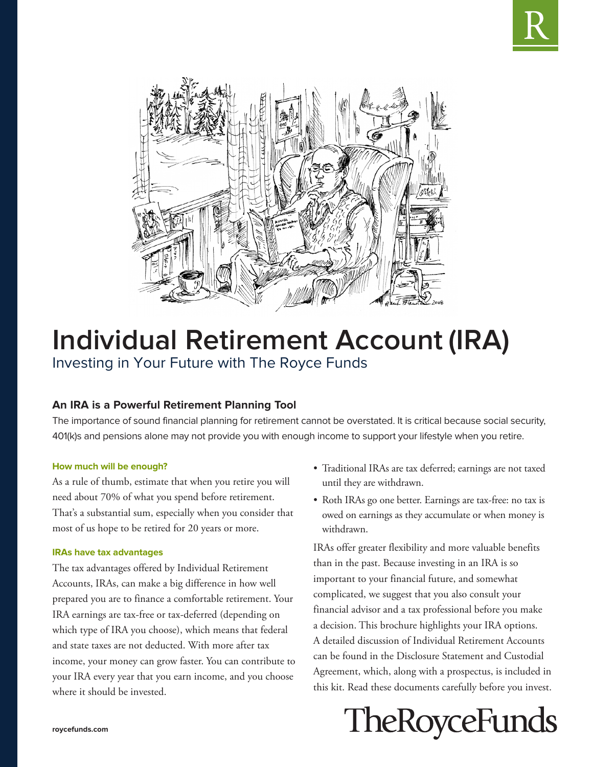



# **Individual Retirement Account (IRA)** Investing in Your Future with The Royce Funds

# **An IRA is a Powerful Retirement Planning Tool**

The importance of sound financial planning for retirement cannot be overstated. It is critical because social security, 401(k)s and pensions alone may not provide you with enough income to support your lifestyle when you retire.

# **How much will be enough?**

As a rule of thumb, estimate that when you retire you will need about 70% of what you spend before retirement. That's a substantial sum, especially when you consider that most of us hope to be retired for 20 years or more.

# **IRAs have tax advantages**

The tax advantages offered by Individual Retirement Accounts, IRAs, can make a big difference in how well prepared you are to finance a comfortable retirement. Your IRA earnings are tax-free or tax-deferred (depending on which type of IRA you choose), which means that federal and state taxes are not deducted. With more after tax income, your money can grow faster. You can contribute to your IRA every year that you earn income, and you choose where it should be invested.

- Traditional IRAs are tax deferred; earnings are not taxed until they are withdrawn.
- Roth IRAs go one better. Earnings are tax-free: no tax is owed on earnings as they accumulate or when money is withdrawn.

IRAs offer greater flexibility and more valuable benefits than in the past. Because investing in an IRA is so important to your financial future, and somewhat complicated, we suggest that you also consult your financial advisor and a tax professional before you make a decision. This brochure highlights your IRA options. A detailed discussion of Individual Retirement Accounts can be found in the Disclosure Statement and Custodial Agreement, which, along with a prospectus, is included in this kit. Read these documents carefully before you invest.

# **TheRoyceFunds**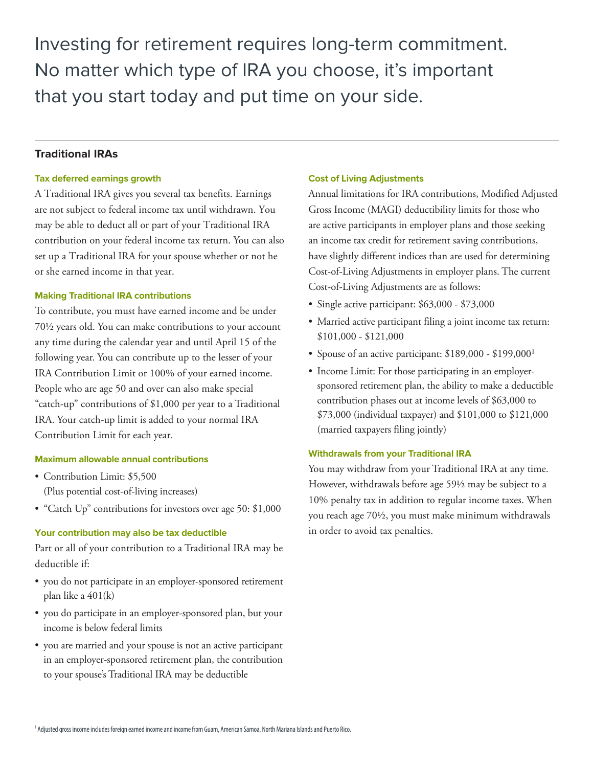Investing for retirement requires long-term commitment. No matter which type of IRA you choose, it's important that you start today and put time on your side.

# **Traditional IRAs**

# **Tax deferred earnings growth**

A Traditional IRA gives you several tax benefits. Earnings are not subject to federal income tax until withdrawn. You may be able to deduct all or part of your Traditional IRA contribution on your federal income tax return. You can also set up a Traditional IRA for your spouse whether or not he or she earned income in that year.

# **Making Traditional IRA contributions**

To contribute, you must have earned income and be under 70½ years old. You can make contributions to your account any time during the calendar year and until April 15 of the following year. You can contribute up to the lesser of your IRA Contribution Limit or 100% of your earned income. People who are age 50 and over can also make special "catch-up" contributions of \$1,000 per year to a Traditional IRA. Your catch-up limit is added to your normal IRA Contribution Limit for each year.

# **Maximum allowable annual contributions**

- Contribution Limit: \$5,500 (Plus potential cost-of-living increases)
- "Catch Up" contributions for investors over age 50: \$1,000

# **Your contribution may also be tax deductible**

Part or all of your contribution to a Traditional IRA may be deductible if:

- you do not participate in an employer-sponsored retirement plan like a 401(k)
- you do participate in an employer-sponsored plan, but your income is below federal limits
- you are married and your spouse is not an active participant in an employer-sponsored retirement plan, the contribution to your spouse's Traditional IRA may be deductible

# **Cost of Living Adjustments**

Annual limitations for IRA contributions, Modified Adjusted Gross Income (MAGI) deductibility limits for those who are active participants in employer plans and those seeking an income tax credit for retirement saving contributions, have slightly different indices than are used for determining Cost-of-Living Adjustments in employer plans. The current Cost-of-Living Adjustments are as follows:

- Single active participant: \$63,000 \$73,000
- Married active participant filing a joint income tax return: \$101,000 - \$121,000
- Spouse of an active participant:  $$189,000 $199,000$ <sup>1</sup>
- Income Limit: For those participating in an employersponsored retirement plan, the ability to make a deductible contribution phases out at income levels of \$63,000 to \$73,000 (individual taxpayer) and \$101,000 to \$121,000 (married taxpayers filing jointly)

#### **Withdrawals from your Traditional IRA**

You may withdraw from your Traditional IRA at any time. However, withdrawals before age 59½ may be subject to a 10% penalty tax in addition to regular income taxes. When you reach age 70½, you must make minimum withdrawals in order to avoid tax penalties.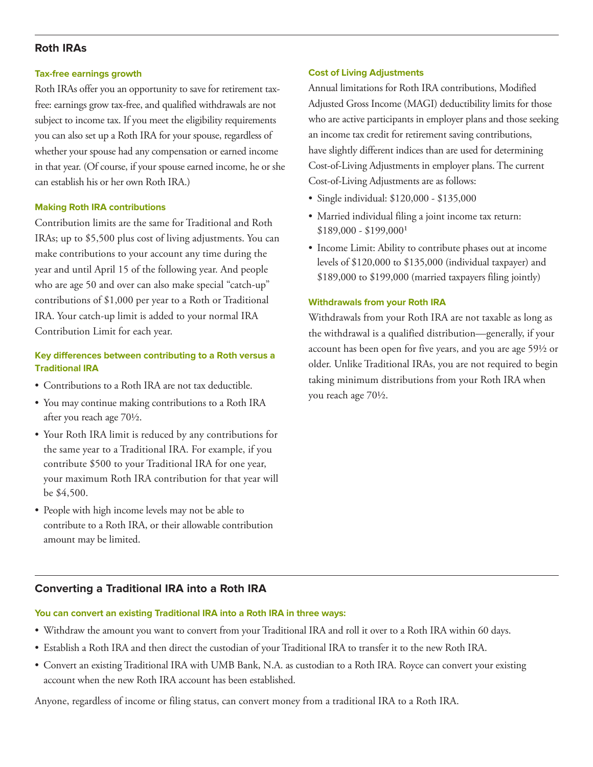# **Roth IRAs**

#### **Tax-free earnings growth**

Roth IRAs offer you an opportunity to save for retirement taxfree: earnings grow tax-free, and qualified withdrawals are not subject to income tax. If you meet the eligibility requirements you can also set up a Roth IRA for your spouse, regardless of whether your spouse had any compensation or earned income in that year. (Of course, if your spouse earned income, he or she can establish his or her own Roth IRA.)

# **Making Roth IRA contributions**

Contribution limits are the same for Traditional and Roth IRAs; up to \$5,500 plus cost of living adjustments. You can make contributions to your account any time during the year and until April 15 of the following year. And people who are age 50 and over can also make special "catch-up" contributions of \$1,000 per year to a Roth or Traditional IRA. Your catch-up limit is added to your normal IRA Contribution Limit for each year.

# **Key differences between contributing to a Roth versus a Traditional IRA**

- Contributions to a Roth IRA are not tax deductible.
- You may continue making contributions to a Roth IRA after you reach age 70½.
- Your Roth IRA limit is reduced by any contributions for the same year to a Traditional IRA. For example, if you contribute \$500 to your Traditional IRA for one year, your maximum Roth IRA contribution for that year will be \$4,500.
- People with high income levels may not be able to contribute to a Roth IRA, or their allowable contribution amount may be limited.

# **Cost of Living Adjustments**

Annual limitations for Roth IRA contributions, Modified Adjusted Gross Income (MAGI) deductibility limits for those who are active participants in employer plans and those seeking an income tax credit for retirement saving contributions, have slightly different indices than are used for determining Cost-of-Living Adjustments in employer plans. The current Cost-of-Living Adjustments are as follows:

- Single individual: \$120,000 \$135,000
- Married individual filing a joint income tax return:  $$189,000 - $199,000<sup>1</sup>$
- Income Limit: Ability to contribute phases out at income levels of \$120,000 to \$135,000 (individual taxpayer) and \$189,000 to \$199,000 (married taxpayers filing jointly)

# **Withdrawals from your Roth IRA**

Withdrawals from your Roth IRA are not taxable as long as the withdrawal is a qualified distribution—generally, if your account has been open for five years, and you are age 59½ or older. Unlike Traditional IRAs, you are not required to begin taking minimum distributions from your Roth IRA when you reach age 70½.

# **Converting a Traditional IRA into a Roth IRA**

# **You can convert an existing Traditional IRA into a Roth IRA in three ways:**

- Withdraw the amount you want to convert from your Traditional IRA and roll it over to a Roth IRA within 60 days.
- Establish a Roth IRA and then direct the custodian of your Traditional IRA to transfer it to the new Roth IRA.
- Convert an existing Traditional IRA with UMB Bank, N.A. as custodian to a Roth IRA. Royce can convert your existing account when the new Roth IRA account has been established.

Anyone, regardless of income or filing status, can convert money from a traditional IRA to a Roth IRA.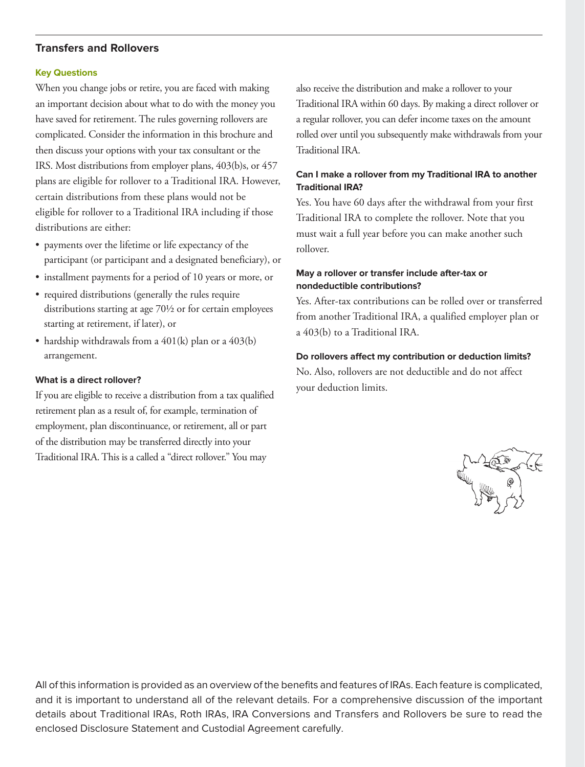# **Transfers and Rollovers**

#### **Key Questions**

When you change jobs or retire, you are faced with making an important decision about what to do with the money you have saved for retirement. The rules governing rollovers are complicated. Consider the information in this brochure and then discuss your options with your tax consultant or the IRS. Most distributions from employer plans, 403(b)s, or 457 plans are eligible for rollover to a Traditional IRA. However, certain distributions from these plans would not be eligible for rollover to a Traditional IRA including if those distributions are either:

- payments over the lifetime or life expectancy of the participant (or participant and a designated beneficiary), or
- installment payments for a period of 10 years or more, or
- required distributions (generally the rules require distributions starting at age 70½ or for certain employees starting at retirement, if later), or
- hardship withdrawals from a  $401(k)$  plan or a  $403(b)$ arrangement.

#### **What is a direct rollover?**

If you are eligible to receive a distribution from a tax qualified retirement plan as a result of, for example, termination of employment, plan discontinuance, or retirement, all or part of the distribution may be transferred directly into your Traditional IRA. This is a called a "direct rollover." You may

also receive the distribution and make a rollover to your Traditional IRA within 60 days. By making a direct rollover or a regular rollover, you can defer income taxes on the amount rolled over until you subsequently make withdrawals from your Traditional IRA.

# **Can I make a rollover from my Traditional IRA to another Traditional IRA?**

Yes. You have 60 days after the withdrawal from your first Traditional IRA to complete the rollover. Note that you must wait a full year before you can make another such rollover.

# **May a rollover or transfer include after-tax or nondeductible contributions?**

Yes. After-tax contributions can be rolled over or transferred from another Traditional IRA, a qualified employer plan or a 403(b) to a Traditional IRA.

#### **Do rollovers affect my contribution or deduction limits?**

No. Also, rollovers are not deductible and do not affect your deduction limits.



All of this information is provided as an overview of the benefits and features of IRAs. Each feature is complicated, and it is important to understand all of the relevant details. For a comprehensive discussion of the important details about Traditional IRAs, Roth IRAs, IRA Conversions and Transfers and Rollovers be sure to read the enclosed Disclosure Statement and Custodial Agreement carefully.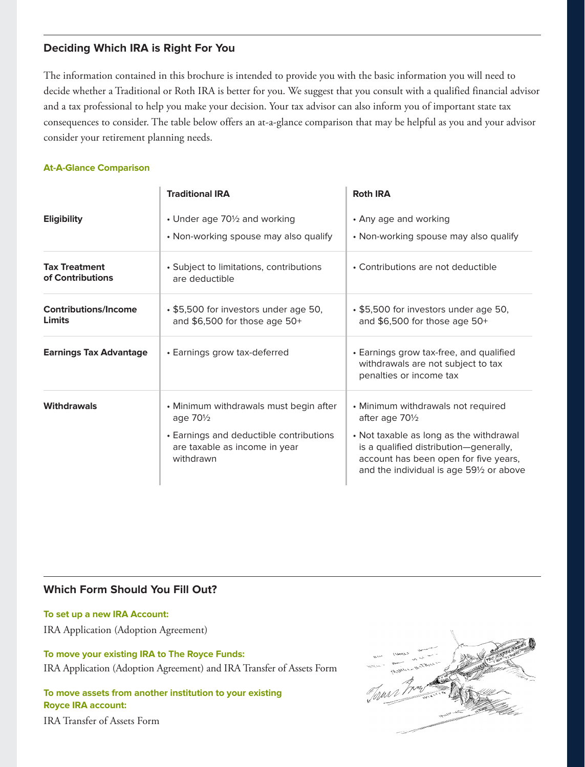# **Deciding Which IRA is Right For You**

The information contained in this brochure is intended to provide you with the basic information you will need to decide whether a Traditional or Roth IRA is better for you. We suggest that you consult with a qualified financial advisor and a tax professional to help you make your decision. Your tax advisor can also inform you of important state tax consequences to consider. The table below offers an at-a-glance comparison that may be helpful as you and your advisor consider your retirement planning needs.

# **At-A-Glance Comparison**

|                                          | <b>Traditional IRA</b>                                                                                                                                   | <b>Roth IRA</b>                                                                                                                                                                                                                 |
|------------------------------------------|----------------------------------------------------------------------------------------------------------------------------------------------------------|---------------------------------------------------------------------------------------------------------------------------------------------------------------------------------------------------------------------------------|
| <b>Eligibility</b>                       | • Under age 701/2 and working<br>• Non-working spouse may also qualify                                                                                   | • Any age and working<br>• Non-working spouse may also qualify                                                                                                                                                                  |
| <b>Tax Treatment</b><br>of Contributions | • Subject to limitations, contributions<br>are deductible                                                                                                | • Contributions are not deductible                                                                                                                                                                                              |
| <b>Contributions/Income</b><br>Limits    | • \$5,500 for investors under age 50,<br>and \$6,500 for those age 50+                                                                                   | • \$5,500 for investors under age 50,<br>and \$6,500 for those age 50+                                                                                                                                                          |
| <b>Earnings Tax Advantage</b>            | • Earnings grow tax-deferred                                                                                                                             | • Earnings grow tax-free, and qualified<br>withdrawals are not subject to tax<br>penalties or income tax                                                                                                                        |
| <b>Withdrawals</b>                       | • Minimum withdrawals must begin after<br>age 70 <sup>1/2</sup><br>• Earnings and deductible contributions<br>are taxable as income in year<br>withdrawn | • Minimum withdrawals not required<br>after age 701/2<br>• Not taxable as long as the withdrawal<br>is a qualified distribution-generally,<br>account has been open for five years,<br>and the individual is age 591/2 or above |

# **Which Form Should You Fill Out?**

**To set up a new IRA Account:**

IRA Application (Adoption Agreement)

**To move your existing IRA to The Royce Funds:** IRA Application (Adoption Agreement) and IRA Transfer of Assets Form

**To move assets from another institution to your existing Royce IRA account:** IRA Transfer of Assets Form